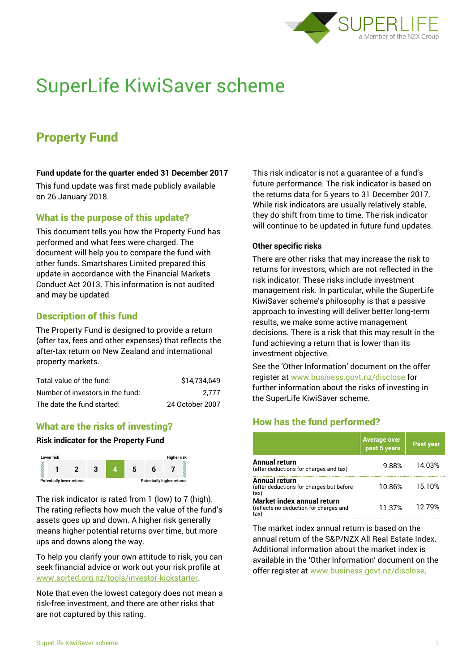

# SuperLife KiwiSaver scheme

# Property Fund

#### **Fund update for the quarter ended 31 December 2017**

This fund update was first made publicly available on 26 January 2018.

## What is the purpose of this update?

This document tells you how the Property Fund has performed and what fees were charged. The document will help you to compare the fund with other funds. Smartshares Limited prepared this update in accordance with the Financial Markets Conduct Act 2013. This information is not audited and may be updated.

## Description of this fund

The Property Fund is designed to provide a return (after tax, fees and other expenses) that reflects the after-tax return on New Zealand and international property markets.

| Total value of the fund:         | \$14.734.649    |
|----------------------------------|-----------------|
| Number of investors in the fund: | 2.777           |
| The date the fund started:       | 24 October 2007 |

# What are the risks of investing?

#### **Risk indicator for the Property Fund**



The risk indicator is rated from 1 (low) to 7 (high). The rating reflects how much the value of the fund's assets goes up and down. A higher risk generally means higher potential returns over time, but more ups and downs along the way.

To help you clarify your own attitude to risk, you can seek financial advice or work out your risk profile at [www.sorted.org.nz/tools/investor-kickstarter.](http://www.sorted.org.nz/tools/investor-kickstarter)

Note that even the lowest category does not mean a risk-free investment, and there are other risks that are not captured by this rating.

This risk indicator is not a guarantee of a fund's future performance. The risk indicator is based on the returns data for 5 years to 31 December 2017. While risk indicators are usually relatively stable, they do shift from time to time. The risk indicator will continue to be updated in future fund updates.

#### **Other specific risks**

There are other risks that may increase the risk to returns for investors, which are not reflected in the risk indicator. These risks include investment management risk. In particular, while the SuperLife KiwiSaver scheme's philosophy is that a passive approach to investing will deliver better long-term results, we make some active management decisions. There is a risk that this may result in the fund achieving a return that is lower than its investment objective.

See the 'Other Information' document on the offer register at www.business.govt.nz/disclose for further information about the risks of investing in the SuperLife KiwiSaver scheme.

# How has the fund performed?

|                                                                             | Average over<br>  past 5 years | Past year |
|-----------------------------------------------------------------------------|--------------------------------|-----------|
| <b>Annual return</b><br>(after deductions for charges and tax)              | 9.88%                          | 14.03%    |
| Annual return<br>(after deductions for charges but before<br>tax)           | 10.86%                         | 15.10%    |
| Market index annual return<br>(reflects no deduction for charges and<br>tax | 11.37%                         | 12.79%    |

The market index annual return is based on the annual return of the S&P/NZX All Real Estate Index. Additional information about the market index is available in the 'Other Information' document on the offer register at www.business.govt.nz/disclose.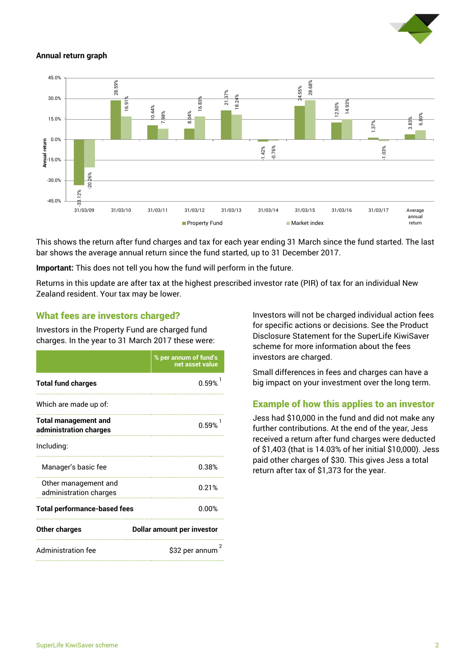

#### **Annual return graph**



This shows the return after fund charges and tax for each year ending 31 March since the fund started. The last bar shows the average annual return since the fund started, up to 31 December 2017.

**Important:** This does not tell you how the fund will perform in the future.

Returns in this update are after tax at the highest prescribed investor rate (PIR) of tax for an individual New Zealand resident. Your tax may be lower.

#### What fees are investors charged?

Investors in the Property Fund are charged fund charges. In the year to 31 March 2017 these were:

|                                                       | % per annum of fund's<br>net asset value |  |
|-------------------------------------------------------|------------------------------------------|--|
| <b>Total fund charges</b>                             | 0.59%                                    |  |
| Which are made up of:                                 |                                          |  |
| <b>Total management and</b><br>administration charges | 0.59%                                    |  |
| Including:                                            |                                          |  |
| Manager's basic fee                                   | 0.38%                                    |  |
| Other management and<br>administration charges        | 0.21%                                    |  |
| <b>Total performance-based fees</b>                   | 0.00%                                    |  |
| <b>Other charges</b>                                  | <b>Dollar amount per investor</b>        |  |
| <b>Administration fee</b>                             | 2<br>\$32 per annum                      |  |

Investors will not be charged individual action fees for specific actions or decisions. See the Product Disclosure Statement for the SuperLife KiwiSaver scheme for more information about the fees investors are charged.

Small differences in fees and charges can have a big impact on your investment over the long term.

# Example of how this applies to an investor

Jess had \$10,000 in the fund and did not make any further contributions. At the end of the year, Jess received a return after fund charges were deducted of \$1,403 (that is 14.03% of her initial \$10,000). Jess paid other charges of \$30. This gives Jess a total return after tax of \$1,373 for the year.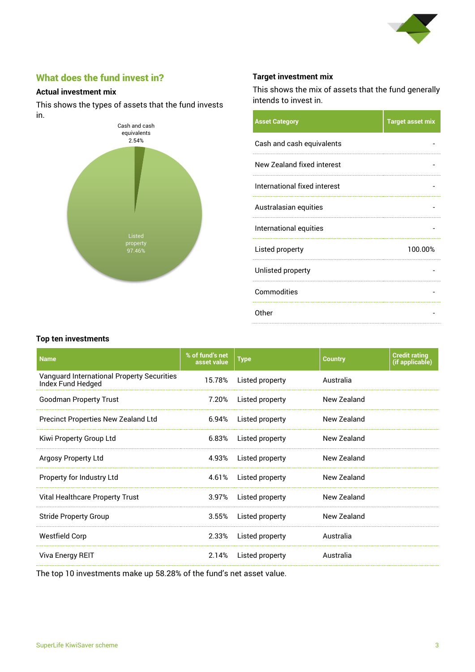

# What does the fund invest in?

#### **Actual investment mix**

This shows the types of assets that the fund invests in.



#### **Target investment mix**

This shows the mix of assets that the fund generally intends to invest in.

| <b>Asset Category</b>        | <b>Target asset mix</b> |
|------------------------------|-------------------------|
| Cash and cash equivalents    |                         |
| New Zealand fixed interest   |                         |
| International fixed interest |                         |
| Australasian equities        |                         |
| International equities       |                         |
| Listed property              | 100.00%                 |
| Unlisted property            |                         |
| Commodities                  |                         |
| Other                        |                         |

#### **Top ten investments**

| <b>Name</b>                                                     | % of fund's net<br>asset value | <b>Type</b>     | <b>Country</b> | <b>Credit rating</b><br>(if applicable) |
|-----------------------------------------------------------------|--------------------------------|-----------------|----------------|-----------------------------------------|
| Vanguard International Property Securities<br>Index Fund Hedged | 15.78%                         | Listed property | Australia      |                                         |
| <b>Goodman Property Trust</b>                                   | 7.20%                          | Listed property | New Zealand    |                                         |
| <b>Precinct Properties New Zealand Ltd</b>                      | 6.94%                          | Listed property | New Zealand    |                                         |
| Kiwi Property Group Ltd                                         | 6.83%                          | Listed property | New Zealand    |                                         |
| Argosy Property Ltd                                             | 4.93%                          | Listed property | New Zealand    |                                         |
| Property for Industry Ltd                                       | 4.61%                          | Listed property | New Zealand    |                                         |
| Vital Healthcare Property Trust                                 | 3.97%                          | Listed property | New Zealand    |                                         |
| <b>Stride Property Group</b>                                    | 3.55%                          | Listed property | New Zealand    |                                         |
| <b>Westfield Corp</b>                                           | 2.33%                          | Listed property | Australia      |                                         |
| Viva Energy REIT                                                | 2.14%                          | Listed property | Australia      |                                         |

The top 10 investments make up 58.28% of the fund's net asset value.